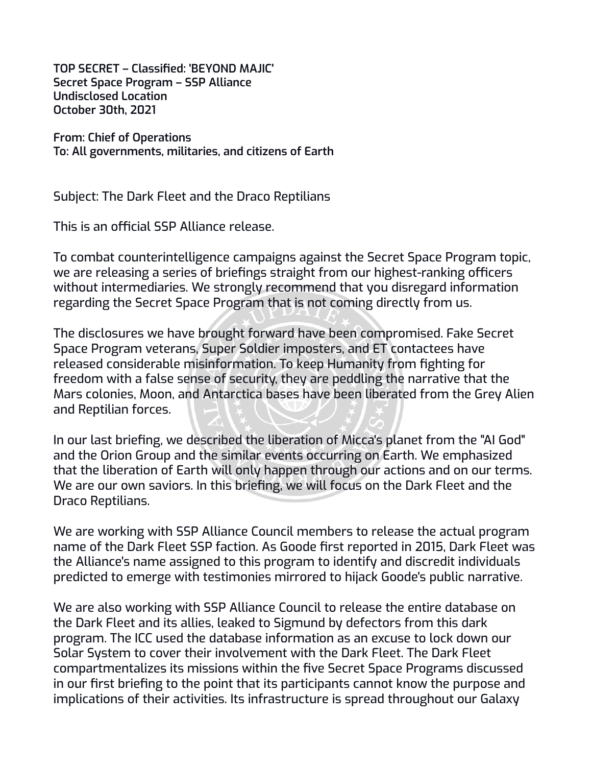**TOP SECRET – Classified: 'BEYOND MAJIC' Secret Space Program – SSP Alliance Undisclosed Location October 30th, 2021**

**From: Chief of Operations To: All governments, militaries, and citizens of Earth**

Subject: The Dark Fleet and the Draco Reptilians

This is an official SSP Alliance release.

To combat counterintelligence campaigns against the Secret Space Program topic, we are releasing a series of briefings straight from our highest-ranking officers without intermediaries. We strongly recommend that you disregard information regarding the Secret Space Program that is not coming directly from us.

The disclosures we have brought forward have been compromised. Fake Secret Space Program veterans, Super Soldier imposters, and ET contactees have released considerable misinformation. To keep Humanity from fighting for freedom with a false sense of security, they are peddling the narrative that the Mars colonies, Moon, and Antarctica bases have been liberated from the Grey Alien and Reptilian forces.

In our last briefing, we described the liberation of Micca's planet from the "AI God" and the Orion Group and the similar events occurring on Earth. We emphasized that the liberation of Earth will only happen through our actions and on our terms. We are our own saviors. In this briefing, we will focus on the Dark Fleet and the Draco Reptilians.

We are working with SSP Alliance Council members to release the actual program name of the Dark Fleet SSP faction. As Goode first reported in 2015, Dark Fleet was the Alliance's name assigned to this program to identify and discredit individuals predicted to emerge with testimonies mirrored to hijack Goode's public narrative.

We are also working with SSP Alliance Council to release the entire database on the Dark Fleet and its allies, leaked to Sigmund by defectors from this dark program. The ICC used the database information as an excuse to lock down our Solar System to cover their involvement with the Dark Fleet. The Dark Fleet compartmentalizes its missions within the five Secret Space Programs discussed in our first briefing to the point that its participants cannot know the purpose and implications of their activities. Its infrastructure is spread throughout our Galaxy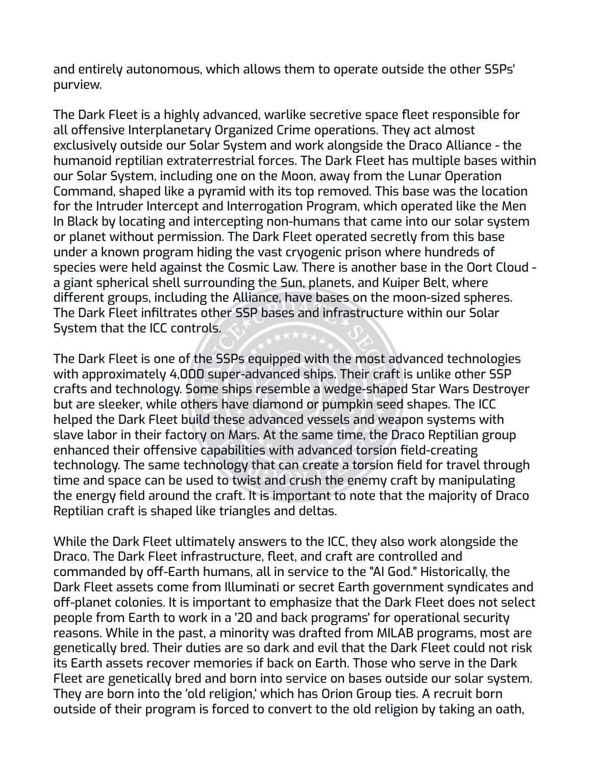and entirely autonomous, which allows them to operate outside the other SSPs' purview.

The Dark Fleet is a highly advanced, warlike secretive space fleet responsible for all offensive Interplanetary Organized Crime operations. They act almost exclusively outside our Solar System and work alongside the Draco Alliance - the humanoid reptilian extraterrestrial forces. The Dark Fleet has multiple bases within our Solar System, including one on the Moon, away from the Lunar Operation Command, shaped like a pyramid with its top removed. This base was the location for the Intruder Intercept and Interrogation Program, which operated like the Men In Black by locating and intercepting non-humans that came into our solar system or planet without permission. The Dark Fleet operated secretly from this base under a known program hiding the vast cryogenic prison where hundreds of species were held against the Cosmic Law. There is another base in the Oort Cloud a giant spherical shell surrounding the Sun, planets, and Kuiper Belt, where different groups, including the Alliance, have bases on the moon-sized spheres. The Dark Fleet infiltrates other SSP bases and infrastructure within our Solar System that the ICC controls.

The Dark Fleet is one of the SSPs equipped with the most advanced technologies with approximately 4,000 super-advanced ships. Their craft is unlike other SSP crafts and technology. Some ships resemble a wedge-shaped Star Wars Destroyer but are sleeker, while others have diamond or pumpkin seed shapes. The ICC helped the Dark Fleet build these advanced vessels and weapon systems with slave labor in their factory on Mars. At the same time, the Draco Reptilian group enhanced their offensive capabilities with advanced torsion field-creating technology. The same technology that can create a torsion field for travel through time and space can be used to twist and crush the enemy craft by manipulating the energy field around the craft. It is important to note that the majority of Draco Reptilian craft is shaped like triangles and deltas.

While the Dark Fleet ultimately answers to the ICC, they also work alongside the Draco. The Dark Fleet infrastructure, fleet, and craft are controlled and commanded by off-Earth humans, all in service to the "AI God." Historically, the Dark Fleet assets come from Illuminati or secret Earth government syndicates and off-planet colonies. It is important to emphasize that the Dark Fleet does not select people from Earth to work in a '20 and back programs' for operational security reasons. While in the past, a minority was drafted from MILAB programs, most are genetically bred. Their duties are so dark and evil that the Dark Fleet could not risk its Earth assets recover memories if back on Earth. Those who serve in the Dark Fleet are genetically bred and born into service on bases outside our solar system. They are born into the 'old religion,' which has Orion Group ties. A recruit born outside of their program is forced to convert to the old religion by taking an oath,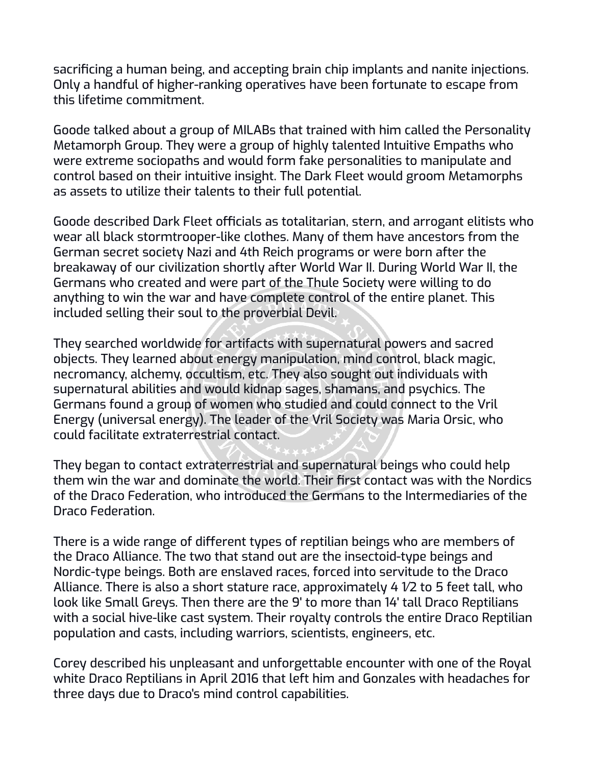sacrificing a human being, and accepting brain chip implants and nanite injections. Only a handful of higher-ranking operatives have been fortunate to escape from this lifetime commitment.

Goode talked about a group of MILABs that trained with him called the Personality Metamorph Group. They were a group of highly talented Intuitive Empaths who were extreme sociopaths and would form fake personalities to manipulate and control based on their intuitive insight. The Dark Fleet would groom Metamorphs as assets to utilize their talents to their full potential.

Goode described Dark Fleet officials as totalitarian, stern, and arrogant elitists who wear all black stormtrooper-like clothes. Many of them have ancestors from the German secret society Nazi and 4th Reich programs or were born after the breakaway of our civilization shortly after World War II. During World War II, the Germans who created and were part of the Thule Society were willing to do anything to win the war and have complete control of the entire planet. This included selling their soul to the proverbial Devil.

They searched worldwide for artifacts with supernatural powers and sacred objects. They learned about energy manipulation, mind control, black magic, necromancy, alchemy, occultism, etc. They also sought out individuals with supernatural abilities and would kidnap sages, shamans, and psychics. The Germans found a group of women who studied and could connect to the Vril Energy (universal energy). The leader of the Vril Society was Maria Orsic, who could facilitate extraterrestrial contact.

They began to contact extraterrestrial and supernatural beings who could help them win the war and dominate the world. Their first contact was with the Nordics of the Draco Federation, who introduced the Germans to the Intermediaries of the Draco Federation.

There is a wide range of different types of reptilian beings who are members of the Draco Alliance. The two that stand out are the insectoid-type beings and Nordic-type beings. Both are enslaved races, forced into servitude to the Draco Alliance. There is also a short stature race, approximately 4 1⁄2 to 5 feet tall, who look like Small Greys. Then there are the 9' to more than 14' tall Draco Reptilians with a social hive-like cast system. Their royalty controls the entire Draco Reptilian population and casts, including warriors, scientists, engineers, etc.

Corey described his unpleasant and unforgettable encounter with one of the Royal white Draco Reptilians in April 2016 that left him and Gonzales with headaches for three days due to Draco's mind control capabilities.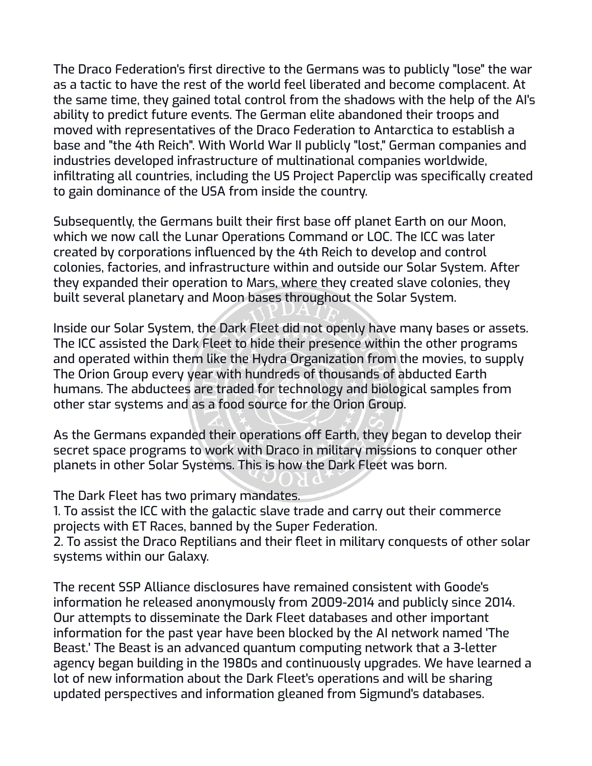The Draco Federation's first directive to the Germans was to publicly "lose" the war as a tactic to have the rest of the world feel liberated and become complacent. At the same time, they gained total control from the shadows with the help of the AI's ability to predict future events. The German elite abandoned their troops and moved with representatives of the Draco Federation to Antarctica to establish a base and "the 4th Reich". With World War II publicly "lost," German companies and industries developed infrastructure of multinational companies worldwide, infiltrating all countries, including the US Project Paperclip was specifically created to gain dominance of the USA from inside the country.

Subsequently, the Germans built their first base off planet Earth on our Moon, which we now call the Lunar Operations Command or LOC. The ICC was later created by corporations influenced by the 4th Reich to develop and control colonies, factories, and infrastructure within and outside our Solar System. After they expanded their operation to Mars, where they created slave colonies, they built several planetary and Moon bases throughout the Solar System.

Inside our Solar System, the Dark Fleet did not openly have many bases or assets. The ICC assisted the Dark Fleet to hide their presence within the other programs and operated within them like the Hydra Organization from the movies, to supply The Orion Group every year with hundreds of thousands of abducted Earth humans. The abductees are traded for technology and biological samples from other star systems and as a food source for the Orion Group.

As the Germans expanded their operations off Earth, they began to develop their secret space programs to work with Draco in military missions to conquer other planets in other Solar Systems. This is how the Dark Fleet was born.

The Dark Fleet has two primary mandates.

1. To assist the ICC with the galactic slave trade and carry out their commerce projects with ET Races, banned by the Super Federation.

2. To assist the Draco Reptilians and their fleet in military conquests of other solar systems within our Galaxy.

The recent SSP Alliance disclosures have remained consistent with Goode's information he released anonymously from 2009-2014 and publicly since 2014. Our attempts to disseminate the Dark Fleet databases and other important information for the past year have been blocked by the AI network named 'The Beast.' The Beast is an advanced quantum computing network that a 3-letter agency began building in the 1980s and continuously upgrades. We have learned a lot of new information about the Dark Fleet's operations and will be sharing updated perspectives and information gleaned from Sigmund's databases.